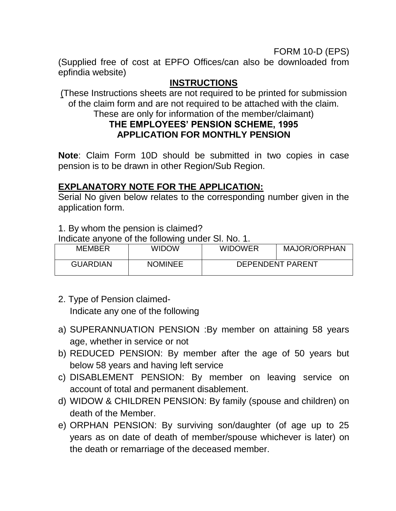#### FORM 10-D (EPS)

(Supplied free of cost at EPFO Offices/can also be downloaded from epfindia website)

#### **INSTRUCTIONS**

(These Instructions sheets are not required to be printed for submission of the claim form and are not required to be attached with the claim. These are only for information of the member/claimant)

## **THE EMPLOYEES' PENSION SCHEME, 1995 APPLICATION FOR MONTHLY PENSION**

**Note**: Claim Form 10D should be submitted in two copies in case pension is to be drawn in other Region/Sub Region.

#### **EXPLANATORY NOTE FOR THE APPLICATION:**

Serial No given below relates to the corresponding number given in the application form.

1. By whom the pension is claimed?

Indicate anyone of the following under Sl. No. 1.

| <b>MEMBER</b>   | WIDOW          | <b>WIDOWER</b>          | <b>MAJOR/ORPHAN</b> |
|-----------------|----------------|-------------------------|---------------------|
| <b>GUARDIAN</b> | <b>NOMINEE</b> | <b>DEPENDENT PARENT</b> |                     |

- 2. Type of Pension claimed- Indicate any one of the following
- a) SUPERANNUATION PENSION :By member on attaining 58 years age, whether in service or not
- b) REDUCED PENSION: By member after the age of 50 years but below 58 years and having left service
- c) DISABLEMENT PENSION: By member on leaving service on account of total and permanent disablement.
- d) WIDOW & CHILDREN PENSION: By family (spouse and children) on death of the Member.
- e) ORPHAN PENSION: By surviving son/daughter (of age up to 25 years as on date of death of member/spouse whichever is later) on the death or remarriage of the deceased member.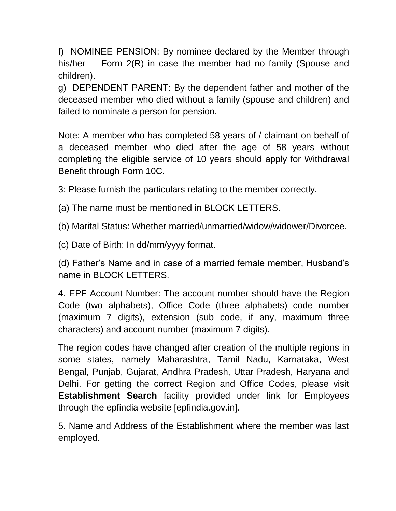f) NOMINEE PENSION: By nominee declared by the Member through his/her Form 2(R) in case the member had no family (Spouse and children).

g) DEPENDENT PARENT: By the dependent father and mother of the deceased member who died without a family (spouse and children) and failed to nominate a person for pension.

Note: A member who has completed 58 years of / claimant on behalf of a deceased member who died after the age of 58 years without completing the eligible service of 10 years should apply for Withdrawal Benefit through Form 10C.

3: Please furnish the particulars relating to the member correctly.

(a) The name must be mentioned in BLOCK LETTERS.

(b) Marital Status: Whether married/unmarried/widow/widower/Divorcee.

(c) Date of Birth: In dd/mm/yyyy format.

(d) Father's Name and in case of a married female member, Husband's name in BLOCK LETTERS.

4. EPF Account Number: The account number should have the Region Code (two alphabets), Office Code (three alphabets) code number (maximum 7 digits), extension (sub code, if any, maximum three characters) and account number (maximum 7 digits).

The region codes have changed after creation of the multiple regions in some states, namely Maharashtra, Tamil Nadu, Karnataka, West Bengal, Punjab, Gujarat, Andhra Pradesh, Uttar Pradesh, Haryana and Delhi. For getting the correct Region and Office Codes, please visit **Establishment Search** facility provided under link for Employees through the epfindia website [epfindia.gov.in].

5. Name and Address of the Establishment where the member was last employed.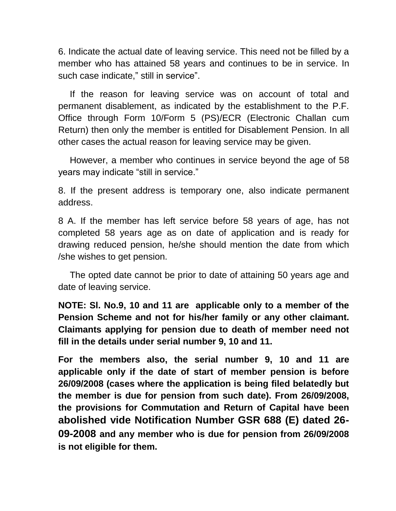6. Indicate the actual date of leaving service. This need not be filled by a member who has attained 58 years and continues to be in service. In such case indicate," still in service".

 If the reason for leaving service was on account of total and permanent disablement, as indicated by the establishment to the P.F. Office through Form 10/Form 5 (PS)/ECR (Electronic Challan cum Return) then only the member is entitled for Disablement Pension. In all other cases the actual reason for leaving service may be given.

 However, a member who continues in service beyond the age of 58 years may indicate "still in service."

8. If the present address is temporary one, also indicate permanent address.

8 A. If the member has left service before 58 years of age, has not completed 58 years age as on date of application and is ready for drawing reduced pension, he/she should mention the date from which /she wishes to get pension.

 The opted date cannot be prior to date of attaining 50 years age and date of leaving service.

**NOTE: Sl. No.9, 10 and 11 are applicable only to a member of the Pension Scheme and not for his/her family or any other claimant. Claimants applying for pension due to death of member need not fill in the details under serial number 9, 10 and 11.** 

**For the members also, the serial number 9, 10 and 11 are applicable only if the date of start of member pension is before 26/09/2008 (cases where the application is being filed belatedly but the member is due for pension from such date). From 26/09/2008, the provisions for Commutation and Return of Capital have been abolished vide Notification Number GSR 688 (E) dated 26- 09-2008 and any member who is due for pension from 26/09/2008 is not eligible for them.**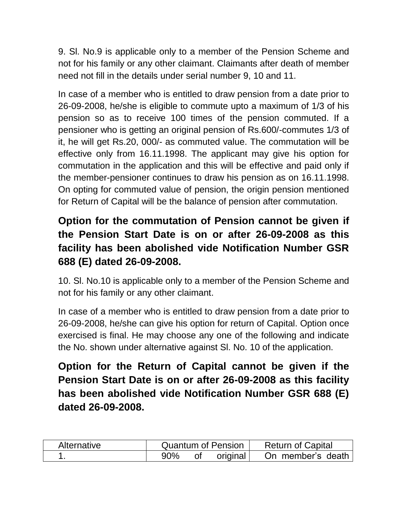9. Sl. No.9 is applicable only to a member of the Pension Scheme and not for his family or any other claimant. Claimants after death of member need not fill in the details under serial number 9, 10 and 11.

In case of a member who is entitled to draw pension from a date prior to 26-09-2008, he/she is eligible to commute upto a maximum of 1/3 of his pension so as to receive 100 times of the pension commuted. If a pensioner who is getting an original pension of Rs.600/-commutes 1/3 of it, he will get Rs.20, 000/- as commuted value. The commutation will be effective only from 16.11.1998. The applicant may give his option for commutation in the application and this will be effective and paid only if the member-pensioner continues to draw his pension as on 16.11.1998. On opting for commuted value of pension, the origin pension mentioned for Return of Capital will be the balance of pension after commutation.

# **Option for the commutation of Pension cannot be given if the Pension Start Date is on or after 26-09-2008 as this facility has been abolished vide Notification Number GSR 688 (E) dated 26-09-2008.**

10. Sl. No.10 is applicable only to a member of the Pension Scheme and not for his family or any other claimant.

In case of a member who is entitled to draw pension from a date prior to 26-09-2008, he/she can give his option for return of Capital. Option once exercised is final. He may choose any one of the following and indicate the No. shown under alternative against Sl. No. 10 of the application.

**Option for the Return of Capital cannot be given if the Pension Start Date is on or after 26-09-2008 as this facility has been abolished vide Notification Number GSR 688 (E) dated 26-09-2008.** 

| Alternative |     | Quantum of Pension | <b>Return of Capital</b> |
|-------------|-----|--------------------|--------------------------|
|             | 90% | original           | On member's death        |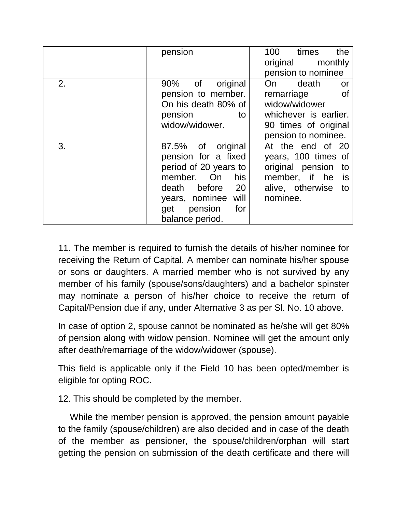|    | pension               | 100<br>times<br>the    |
|----|-----------------------|------------------------|
|    |                       | monthly<br>original    |
|    |                       | pension to nominee     |
| 2. | 90% of<br>original    | death<br>On<br>or      |
|    | pension to member.    | remarriage<br>_of      |
|    | On his death 80% of   | widow/widower          |
|    | pension<br>to         | whichever is earlier.  |
|    | widow/widower.        | 90 times of original   |
|    |                       | pension to nominee.    |
| 3. | 87.5% of original     | At the end of 20       |
|    | pension for a fixed   | years, 100 times of    |
|    | period of 20 years to | original pension<br>to |
|    | member.<br>his<br>On  | member, if he<br>is    |
|    | 20<br>death before    | alive, otherwise<br>to |
|    | years, nominee will   | nominee.               |
|    | pension<br>for<br>get |                        |
|    | balance period.       |                        |

11. The member is required to furnish the details of his/her nominee for receiving the Return of Capital. A member can nominate his/her spouse or sons or daughters. A married member who is not survived by any member of his family (spouse/sons/daughters) and a bachelor spinster may nominate a person of his/her choice to receive the return of Capital/Pension due if any, under Alternative 3 as per Sl. No. 10 above.

In case of option 2, spouse cannot be nominated as he/she will get 80% of pension along with widow pension. Nominee will get the amount only after death/remarriage of the widow/widower (spouse).

This field is applicable only if the Field 10 has been opted/member is eligible for opting ROC.

12. This should be completed by the member.

 While the member pension is approved, the pension amount payable to the family (spouse/children) are also decided and in case of the death of the member as pensioner, the spouse/children/orphan will start getting the pension on submission of the death certificate and there will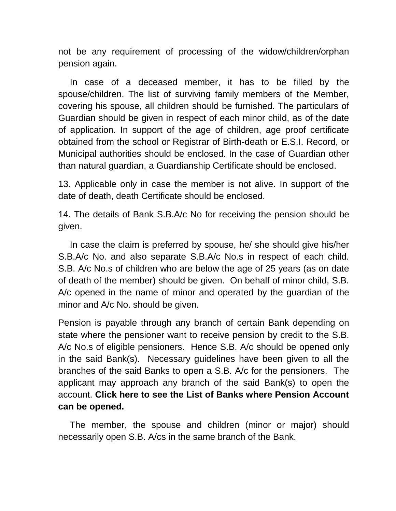not be any requirement of processing of the widow/children/orphan pension again.

 In case of a deceased member, it has to be filled by the spouse/children. The list of surviving family members of the Member, covering his spouse, all children should be furnished. The particulars of Guardian should be given in respect of each minor child, as of the date of application. In support of the age of children, age proof certificate obtained from the school or Registrar of Birth-death or E.S.I. Record, or Municipal authorities should be enclosed. In the case of Guardian other than natural guardian, a Guardianship Certificate should be enclosed.

13. Applicable only in case the member is not alive. In support of the date of death, death Certificate should be enclosed.

14. The details of Bank S.B.A/c No for receiving the pension should be given.

 In case the claim is preferred by spouse, he/ she should give his/her S.B.A/c No. and also separate S.B.A/c No.s in respect of each child. S.B. A/c No.s of children who are below the age of 25 years (as on date of death of the member) should be given. On behalf of minor child, S.B. A/c opened in the name of minor and operated by the guardian of the minor and A/c No. should be given.

Pension is payable through any branch of certain Bank depending on state where the pensioner want to receive pension by credit to the S.B. A/c No.s of eligible pensioners. Hence S.B. A/c should be opened only in the said Bank(s). Necessary guidelines have been given to all the branches of the said Banks to open a S.B. A/c for the pensioners. The applicant may approach any branch of the said Bank(s) to open the account. **Click here to see the List of Banks where Pension Account can be opened.** 

 The member, the spouse and children (minor or major) should necessarily open S.B. A/cs in the same branch of the Bank.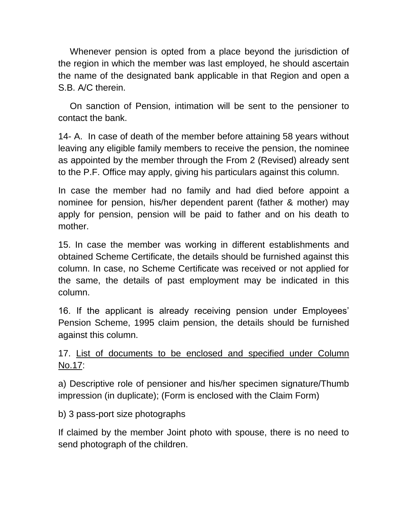Whenever pension is opted from a place beyond the jurisdiction of the region in which the member was last employed, he should ascertain the name of the designated bank applicable in that Region and open a S.B. A/C therein.

On sanction of Pension, intimation will be sent to the pensioner to contact the bank.

14- A. In case of death of the member before attaining 58 years without leaving any eligible family members to receive the pension, the nominee as appointed by the member through the From 2 (Revised) already sent to the P.F. Office may apply, giving his particulars against this column.

In case the member had no family and had died before appoint a nominee for pension, his/her dependent parent (father & mother) may apply for pension, pension will be paid to father and on his death to mother.

15. In case the member was working in different establishments and obtained Scheme Certificate, the details should be furnished against this column. In case, no Scheme Certificate was received or not applied for the same, the details of past employment may be indicated in this column.

16. If the applicant is already receiving pension under Employees' Pension Scheme, 1995 claim pension, the details should be furnished against this column.

### 17. List of documents to be enclosed and specified under Column No.17:

a) Descriptive role of pensioner and his/her specimen signature/Thumb impression (in duplicate); (Form is enclosed with the Claim Form)

b) 3 pass-port size photographs

If claimed by the member Joint photo with spouse, there is no need to send photograph of the children.